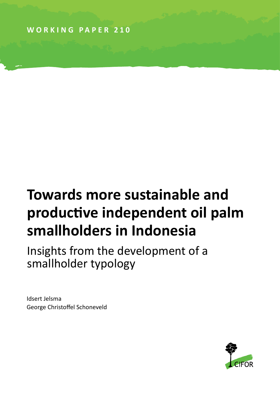**WORKING PAPER 210**

# **Towards more sustainable and productive independent oil palm smallholders in Indonesia**

Insights from the development of a smallholder typology

Idsert Jelsma George Christoffel Schoneveld

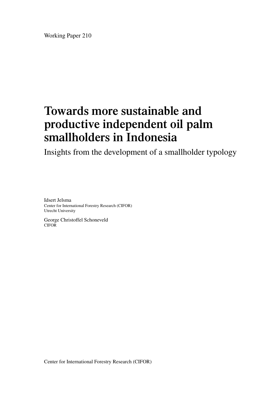Working Paper 210

### **Towards more sustainable and productive independent oil palm smallholders in Indonesia**

Insights from the development of a smallholder typology

Idsert Jelsma Center for International Forestry Research (CIFOR) Utrecht University

George Christoffel Schoneveld CIFOR

Center for International Forestry Research (CIFOR)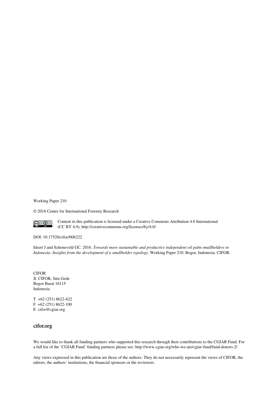Working Paper 210

© 2016 Center for International Forestry Research



Content in this publication is licensed under a Creative Commons Attribution 4.0 International (CC BY 4.0), http://creativecommons.org/licenses/by/4.0/

DOI: 10.17528/cifor/006222

Idsert J and Schoneveld GC. 2016. *Towards more sustainable and productive independent oil palm smallholders in Indonesia: Insights from the development of a smallholder typology.* Working Paper 210. Bogor, Indonesia: CIFOR.

CIFOR Jl. CIFOR, Situ Gede Bogor Barat 16115 Indonesia

T +62 (251) 8622-622 F +62 (251) 8622-100 E cifor@cgiar.org

#### **cifor.org**

We would like to thank all funding partners who supported this research through their contributions to the CGIAR Fund. For a full list of the 'CGIAR Fund' funding partners please see: http://www.cgiar.org/who-we-are/cgiar-fund/fund-donors-2/

Any views expressed in this publication are those of the authors. They do not necessarily represent the views of CIFOR, the editors, the authors' institutions, the financial sponsors or the reviewers.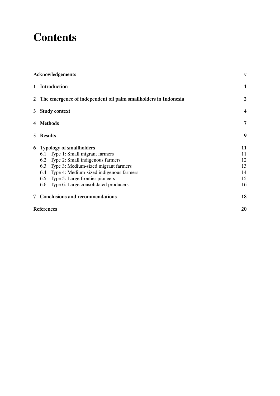### **Contents**

| Acknowledgements                                                  | V                       |  |  |  |  |  |  |
|-------------------------------------------------------------------|-------------------------|--|--|--|--|--|--|
| 1 Introduction                                                    | $\mathbf{1}$            |  |  |  |  |  |  |
| 2 The emergence of independent oil palm smallholders in Indonesia | $\overline{2}$          |  |  |  |  |  |  |
| 3 Study context                                                   | $\overline{\mathbf{4}}$ |  |  |  |  |  |  |
| 4 Methods                                                         |                         |  |  |  |  |  |  |
| 5 Results                                                         | 9                       |  |  |  |  |  |  |
| 6 Typology of smallholders                                        | 11                      |  |  |  |  |  |  |
| 6.1 Type 1: Small migrant farmers                                 | 11                      |  |  |  |  |  |  |
| 6.2 Type 2: Small indigenous farmers                              | 12                      |  |  |  |  |  |  |
| 6.3 Type 3: Medium-sized migrant farmers                          | 13                      |  |  |  |  |  |  |
| 6.4 Type 4: Medium-sized indigenous farmers                       | 14                      |  |  |  |  |  |  |
| 6.5 Type 5: Large frontier pioneers                               | 15                      |  |  |  |  |  |  |
| 6.6 Type 6: Large consolidated producers                          | 16                      |  |  |  |  |  |  |
| 7 Conclusions and recommendations                                 | 18                      |  |  |  |  |  |  |
| References                                                        | 20                      |  |  |  |  |  |  |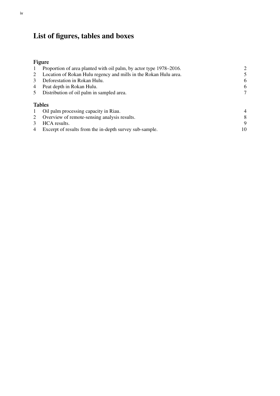### **List of figures, tables and boxes**

### **Figure**

| $\mathbf{1}$ | Proportion of area planted with oil palm, by actor type 1978–2016. | $\overline{2}$ |
|--------------|--------------------------------------------------------------------|----------------|
|              | Location of Rokan Hulu regency and mills in the Rokan Hulu area.   | 5              |
| 3            | Deforestation in Rokan Hulu.                                       | 6              |
| 4            | Peat depth in Rokan Hulu.                                          | 6              |
|              | Distribution of oil palm in sampled area.                          | 7              |
|              | <b>Tables</b>                                                      |                |
|              | Oil palm processing capacity in Riau.                              | $\overline{4}$ |
|              | Overview of remote-sensing analysis results.                       | 8              |
|              | HCA results.                                                       | 9              |
| 4            | Excerpt of results from the in-depth survey sub-sample.            | 10             |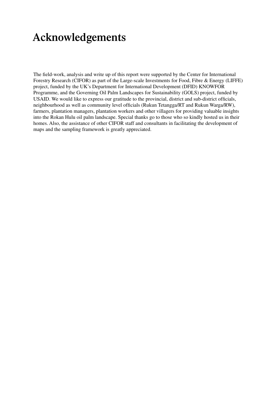### **Acknowledgements**

The field-work, analysis and write up of this report were supported by the Center for International Forestry Research (CIFOR) as part of the Large-scale Investments for Food, Fibre & Energy (LIFFE) project, funded by the UK's Department for International Development (DFID) KNOWFOR Programme, and the Governing Oil Palm Landscapes for Sustainability (GOLS) project, funded by USAID. We would like to express our gratitude to the provincial, district and sub-district officials, neighbourhood as well as community level officials (Rukun Tetangga/RT and Rukun Warga/RW), farmers, plantation managers, plantation workers and other villagers for providing valuable insights into the Rokan Hulu oil palm landscape. Special thanks go to those who so kindly hosted us in their homes. Also, the assistance of other CIFOR staff and consultants in facilitating the development of maps and the sampling framework is greatly appreciated.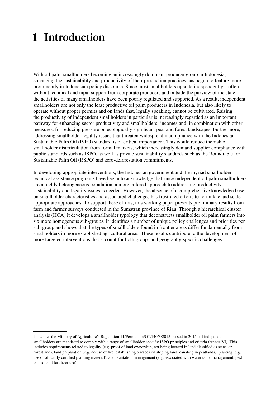### **1 Introduction**

With oil palm smallholders becoming an increasingly dominant producer group in Indonesia, enhancing the sustainability and productivity of their production practices has begun to feature more prominently in Indonesian policy discourse. Since most smallholders operate independently – often without technical and input support from corporate producers and outside the purview of the state – the activities of many smallholders have been poorly regulated and supported. As a result, independent smallholders are not only the least productive oil palm producers in Indonesia, but also likely to operate without proper permits and on lands that, legally speaking, cannot be cultivated. Raising the productivity of independent smallholders in particular is increasingly regarded as an important pathway for enhancing sector productivity and smallholders' incomes and, in combination with other measures, for reducing pressure on ecologically significant peat and forest landscapes. Furthermore, addressing smallholder legality issues that threaten widespread incompliance with the Indonesian Sustainable Palm Oil (ISPO) standard is of critical importance<sup>1</sup>. This would reduce the risk of smallholder disarticulation from formal markets, which increasingly demand supplier compliance with public standards such as ISPO, as well as private sustainability standards such as the Roundtable for Sustainable Palm Oil (RSPO) and zero-deforestation commitments.

In developing appropriate interventions, the Indonesian government and the myriad smallholder technical assistance programs have begun to acknowledge that since independent oil palm smallholders are a highly heterogeneous population, a more tailored approach to addressing productivity, sustainability and legality issues is needed. However, the absence of a comprehensive knowledge base on smallholder characteristics and associated challenges has frustrated efforts to formulate and scale appropriate approaches. To support these efforts, this working paper presents preliminary results from farm and farmer surveys conducted in the Sumatran province of Riau. Through a hierarchical cluster analysis (HCA) it develops a smallholder typology that deconstructs smallholder oil palm farmers into six more homogenous sub-groups. It identifies a number of unique policy challenges and priorities per sub-group and shows that the types of smallholders found in frontier areas differ fundamentally from smallholders in more established agricultural areas. These results contribute to the development of more targeted interventions that account for both group- and geography-specific challenges.

<sup>1</sup> Under the Ministry of Agriculture's Regulation 11/Permentan/OT.140/3/2015 passed in 2015, all independent smallholders are mandated to comply with a range of smallholder-specific ISPO principles and criteria (Annex VI). This includes requirements related to legality (e.g. proof of land ownership, not being located in land classified as state- or forestland), land preparation (e.g. no use of fire, establishing terraces on sloping land, canaling in peatlands), planting (e.g. use of officially certified planting material), and plantation management (e.g. associated with water table management, pest control and fertilizer use).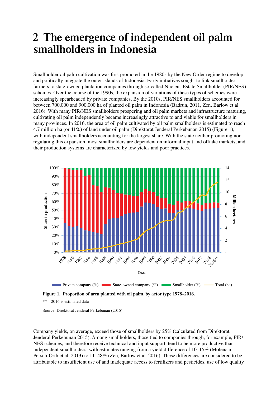### **2 The emergence of independent oil palm smallholders in Indonesia**

Smallholder oil palm cultivation was first promoted in the 1980s by the New Order regime to develop and politically integrate the outer islands of Indonesia. Early initiatives sought to link smallholder farmers to state-owned plantation companies through so-called Nucleus Estate Smallholder (PIR/NES) schemes. Over the course of the 1990s, the expansion of variations of these types of schemes were increasingly spearheaded by private companies. By the 2010s, PIR/NES smallholders accounted for between 700,000 and 900,000 ha of planted oil palm in Indonesia (Badrun, 2011, Zen, Barlow et al. 2016). With many PIR/NES smallholders prospering and oil palm markets and infrastructure maturing, cultivating oil palm independently became increasingly attractive to and viable for smallholders in many provinces. In 2016, the area of oil palm cultivated by oil palm smallholders is estimated to reach 4.7 million ha (or 41%) of land under oil palm (Direktorat Jenderal Perkebunan 2015) (Figure 1), with independent smallholders accounting for the largest share. With the state neither promoting nor regulating this expansion, most smallholders are dependent on informal input and offtake markets, and their production systems are characterized by low yields and poor practices.



2016 is estimated data

Source: Direktorat Jenderal Perkebunan (2015)

Company yields, on average, exceed those of smallholders by 25% (calculated from Direktorat Jenderal Perkebunan 2015). Among smallholders, those tied to companies through, for example, PIR/ NES schemes, and therefore receive technical and input support, tend to be more productive than independent smallholders; with estimates ranging from a yield difference of 10–15% (Molenaar, Persch-Orth et al. 2013) to 11–48% (Zen, Barlow et al. 2016). These differences are considered to be attributable to insufficient use of and inadequate access to fertilizers and pesticides, use of low quality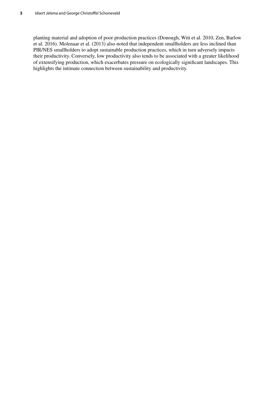planting material and adoption of poor production practices (Donough, Witt et al. 2010, Zen, Barlow et al. 2016). Molenaar et al*.* (2013) also noted that independent smallholders are less inclined than PIR/NES smallholders to adopt sustainable production practices, which in turn adversely impacts their productivity. Conversely, low productivity also tends to be associated with a greater likelihood of extensifying production, which exacerbates pressure on ecologically significant landscapes. This highlights the intimate connection between sustainability and productivity.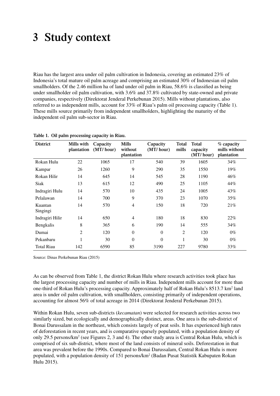### **3 Study context**

Riau has the largest area under oil palm cultivation in Indonesia, covering an estimated 23% of Indonesia's total mature oil palm acreage and comprising an estimated 30% of Indonesian oil palm smallholders. Of the 2.46 million ha of land under oil palm in Riau, 58.6% is classified as being under smallholder oil palm cultivation, with 3.6% and 37.8% cultivated by state-owned and private companies, respectively (Direktorat Jenderal Perkebunan 2015). Mills without plantations, also referred to as independent mills, account for 33% of Riau's palm oil processing capacity (Table 1). These mills source primarily from independent smallholders, highlighting the maturity of the independent oil palm sub-sector in Riau.

| <b>District</b>     | Mills with<br>plantation | Capacity<br>(MT/hour) | Mills<br>without<br>plantation | Capacity<br>(MT/hour) | <b>Total</b><br>mills | <b>Total</b><br>capacity<br>(MT/hour) | % capacity<br>mills without<br>plantation |
|---------------------|--------------------------|-----------------------|--------------------------------|-----------------------|-----------------------|---------------------------------------|-------------------------------------------|
| Rokan Hulu          | 22                       | 1065                  | 17                             | 540                   | 39                    | 1605                                  | 34%                                       |
| Kampar              | 26                       | 1260                  | 9                              | 290                   | 35                    | 1550                                  | 19%                                       |
| Rokan Hilir         | 14                       | 645                   | 14                             | 545                   | 28                    | 1190                                  | 46%                                       |
| <b>Siak</b>         | 13                       | 615                   | 12                             | 490                   | 25                    | 1105                                  | 44%                                       |
| Indragiri Hulu      | 14                       | 570                   | 10                             | 435                   | 24                    | 1005                                  | 43%                                       |
| Pelalawan           | 14                       | 700                   | 9                              | 370                   | 23                    | 1070                                  | 35%                                       |
| Kuantan<br>Singingi | 14                       | 570                   | 4                              | 150                   | 18                    | 720                                   | 21%                                       |
| Indragiri Hilir     | 14                       | 650                   | $\overline{4}$                 | 180                   | 18                    | 830                                   | 22%                                       |
| Bengkalis           | 8                        | 365                   | 6                              | 190                   | 14                    | 555                                   | 34%                                       |
| Dumai               | $\overline{2}$           | 120                   | $\overline{0}$                 | $\mathbf{0}$          | $\overline{2}$        | 120                                   | $0\%$                                     |
| Pekanbaru           | 1                        | 30                    | $\theta$                       | $\theta$              | 1                     | 30                                    | $0\%$                                     |
| <b>Total Riau</b>   | 142                      | 6590                  | 85                             | 3190                  | 227                   | 9780                                  | 33%                                       |

**Table 1. Oil palm processing capacity in Riau.**

Source: Dinas Perkebunan Riau (2015)

As can be observed from Table 1, the district Rokan Hulu where research activities took place has the largest processing capacity and number of mills in Riau. Independent mills account for more than one-third of Rokan Hulu's processing capacity. Approximately half of Rokan Hulu's 8513.7 km<sup>2</sup> land area is under oil palm cultivation, with smallholders, consisting primarily of independent operations, accounting for almost 56% of total acreage in 2014 (Direktorat Jenderal Perkebunan 2015).

Within Rokan Hulu, seven sub-districts (*kecamatan*) were selected for research activities across two similarly sized, but ecologically and demographically distinct, areas. One area is the sub-district of Bonai Darussalam in the northeast, which consists largely of peat soils. It has experienced high rates of deforestation in recent years, and is comparative sparsely populated, with a population density of only 29.5 persons/km<sup>2</sup> (see Figures 2, 3 and 4). The other study area is Central Rokan Hulu, which is comprised of six sub-district, where most of the land consists of mineral soils. Deforestation in that area was prevalent before the 1990s. Compared to Bonai Darussalam, Central Rokan Hulu is more populated, with a population density of 151 persons/km<sup>2</sup> (Badan Pusat Statistik Kabupaten Rokan Hulu 2015).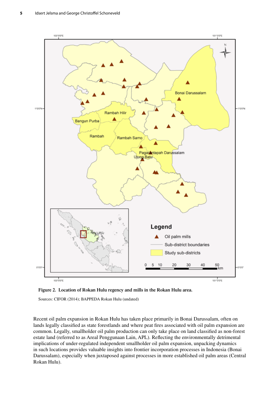

**Figure 2. Location of Rokan Hulu regency and mills in the Rokan Hulu area.**

Sources: CIFOR (2014); BAPPEDA Rokan Hulu (undated)

Recent oil palm expansion in Rokan Hulu has taken place primarily in Bonai Darussalam, often on lands legally classified as state forestlands and where peat fires associated with oil palm expansion are common. Legally, smallholder oil palm production can only take place on land classified as non-forest estate land (referred to as Areal Penggunaan Lain, APL). Reflecting the environmentally detrimental implications of under-regulated independent smallholder oil palm expansion, unpacking dynamics in such locations provides valuable insights into frontier incorporation processes in Indonesia (Bonai Darussalam), especially when juxtaposed against processes in more established oil palm areas (Central Rokan Hulu).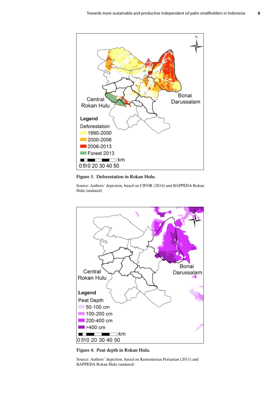

#### **Figure 3. Deforestation in Rokan Hulu.**

Source: Authors' depiction, based on CIFOR (2014) and BAPPEDA Rokan Hulu (undated)



**Figure 4. Peat depth in Rokan Hulu.**

Source: Authors' depiction, based on Kementerian Pertanian (2011) and BAPPEDA Rokan Hulu (undated)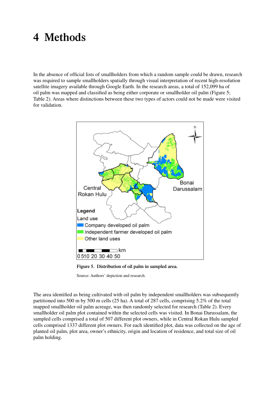### **4 Methods**

In the absence of official lists of smallholders from which a random sample could be drawn, research was required to sample smallholders spatially through visual interpretation of recent high-resolution satellite imagery available through Google Earth. In the research areas, a total of 152,099 ha of oil palm was mapped and classified as being either corporate or smallholder oil palm (Figure 5; Table 2). Areas where distinctions between these two types of actors could not be made were visited for validation.



**Figure 5. Distribution of oil palm in sampled area.**

Source: Authors' depiction and research.

The area identified as being cultivated with oil palm by independent smallholders was subsequently partitioned into 500 m by 500 m cells (25 ha). A total of 287 cells, comprising 5.2% of the total mapped smallholder oil palm acreage, was then randomly selected for research (Table 2). Every smallholder oil palm plot contained within the selected cells was visited. In Bonai Darussalam, the sampled cells comprised a total of 507 different plot owners, while in Central Rokan Hulu sampled cells comprised 1337 different plot owners. For each identified plot, data was collected on the age of planted oil palm, plot area, owner's ethnicity, origin and location of residence, and total size of oil palm holding.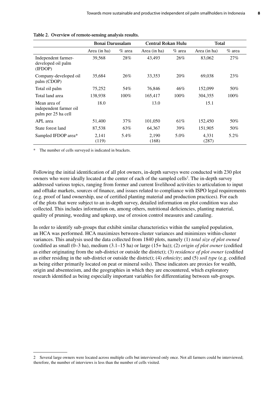|                                                               | <b>Bonai Darussalam</b> |           | <b>Central Rokan Hulu</b> |          | <b>Total</b>   |          |  |
|---------------------------------------------------------------|-------------------------|-----------|---------------------------|----------|----------------|----------|--|
|                                                               | Area (in ha)            | $\%$ area | Area (in ha)              | $%$ area | Area (in ha)   | $%$ area |  |
| Independent farmer-<br>developed oil palm<br>(IFDOP)          | 39,568                  | 28%       | 43,493                    | 26%      | 83,062         | 27%      |  |
| Company-developed oil<br>palm (CDOP)                          | 35,684                  | 26%       | 33,353                    | 20%      | 69,038         | 23%      |  |
| Total oil palm                                                | 75,252                  | 54%       | 76,846                    | 46%      | 152,099        | 50%      |  |
| Total land area                                               | 138,938                 | $100\%$   | 165,417                   | $100\%$  | 304,355        | $100\%$  |  |
| Mean area of<br>independent farmer oil<br>palm per 25 ha cell | 18.0                    |           | 13.0                      |          | 15.1           |          |  |
| APL area                                                      | 51,400                  | $37\%$    | 101,050                   | 61%      | 152,450        | 50%      |  |
| State forest land                                             | 87,538                  | 63%       | 64,367                    | 39%      | 151,905        | 50%      |  |
| Sampled IFDOP area*                                           | 2,141<br>(119)          | 5.4%      | 2,190<br>(168)            | 5.0%     | 4,331<br>(287) | 5.2%     |  |

|  | Table 2. Overview of remote-sensing analysis results. |  |
|--|-------------------------------------------------------|--|
|  |                                                       |  |

\* The number of cells surveyed is indicated in brackets.

Following the initial identification of all plot owners, in-depth surveys were conducted with 230 plot owners who were ideally located at the center of each of the sampled cells<sup>2</sup>. The in-depth survey addressed various topics, ranging from former and current livelihood activities to articulation to input and offtake markets, sources of finance, and issues related to compliance with ISPO legal requirements (e.g. proof of land ownership, use of certified planting material and production practices). For each of the plots that were subject to an in-depth survey, detailed information on plot condition was also collected. This includes information on, among others, nutritional deficiencies, planting material, quality of pruning, weeding and upkeep, use of erosion control measures and canaling.

In order to identify sub-groups that exhibit similar characteristics within the sampled population, an HCA was performed. HCA maximizes between-cluster variances and minimizes within-cluster variances. This analysis used the data collected from 1840 plots, namely (1) *total size of plot owned* (codified as small (0–3 ha), medium (3.1–15 ha) or large (15+ ha)); (2) *origin of plot owner* (codified as either originating from the sub-district or outside the district); (3) *residence of plot owner* (codified as either residing in the sub-district or outside the district); (4) *ethnicity*; and (5) *soil type* (e.g. codified as being either primarily located on peat or mineral soils). These indicators are proxies for wealth, origin and absenteeism, and the geographies in which they are encountered, which exploratory research identified as being especially important variables for differentiating between sub-groups.

<sup>2</sup> Several large owners were located across multiple cells but interviewed only once. Not all farmers could be interviewed; therefore, the number of interviews is less than the number of cells visited.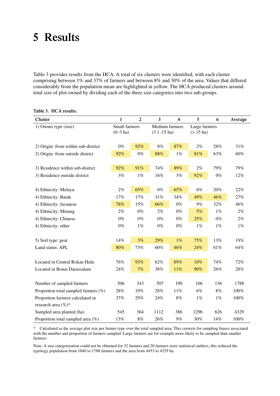### **5 Results**

Table 3 provides results from the HCA. A total of six clusters were identified, with each cluster comprising between 1% and 37% of farmers and between 8% and 30% of the area. Values that differed considerably from the population mean are highlighted in yellow. The HCA produced clusters around total size of plot owned by dividing each of the three size categories into two sub-groups.

| Cluster                                                | $\mathbf{1}$                 | $\overline{2}$ | 3                                  | $\overline{\mathbf{4}}$ | 5                                    | 6     | Average |
|--------------------------------------------------------|------------------------------|----------------|------------------------------------|-------------------------|--------------------------------------|-------|---------|
| 1) Owner type (size)                                   | Small farmers<br>$(0-3)$ ha) |                | Medium farmers<br>$(3.1 - 15)$ ha) |                         | Large farmers<br>$(> 15 \text{ ha})$ |       |         |
| 2) Origin: from within sub-district                    | $0\%$                        | 92%            | 8%                                 | 87%                     | $2\%$                                | 28%   | 31%     |
| 2) Origin: from outside district                       | 92%                          | $0\%$          | 88%                                | $1\%$                   | $81\%$                               | 63%   | 60%     |
| 3) Residence within sub-district                       | 92%                          | 91%            | 74%                                | 89%                     | 2%                                   | 79%   | 79%     |
| 3) Residence outside district                          | 3%                           | $1\%$          | 16%                                | $3\%$                   | 92%                                  | $0\%$ | 12%     |
|                                                        |                              |                |                                    |                         |                                      |       |         |
| 4) Ethnicity: Melayu                                   | $2\%$                        | 65%            | $0\%$                              | 65%                     | 6%                                   | 20%   | 22%     |
| 4) Ethnicity: Batak                                    | 17%                          | 17%            | 31%                                | 34%                     | 49%                                  | 46%   | 27%     |
| 4) Ethnicity: Javanese                                 | 78%                          | 15%            | 66%                                | $0\%$                   | 9%                                   | 32%   | 46%     |
| 4) Ethnicity: Minang                                   | $2\%$                        | $0\%$          | 2%                                 | $0\%$                   | 5%                                   | $1\%$ | $2\%$   |
| 4) Ethnicity: Chinese                                  | $0\%$                        | $0\%$          | $0\%$                              | $0\%$                   | 25%                                  | $0\%$ | 2%      |
| 4) Ethnicity: other                                    | $0\%$                        | $1\%$          | $0\%$                              | $0\%$                   | $1\%$                                | $1\%$ | $1\%$   |
| 5) Soil type: peat                                     | 14%                          | 3%             | 29%                                | $1\%$                   | 75%                                  | 13%   | 19%     |
| Land status: APL                                       | 80%                          | 73%            | 60%                                | 46%                     | 24%                                  | 61%   | 64%     |
|                                                        |                              |                |                                    |                         |                                      |       |         |
| Located in Central Rokan Hulu                          | 76%                          | 93%            | 62%                                | 89%                     | 10%                                  | 74%   | 72%     |
| Located in Bonai Darussalam                            | 24%                          | 7%             | 38%                                | $11\%$                  | 90%                                  | 26%   | 28%     |
| Number of sampled farmers                              | 506                          | 343            | 507                                | 190                     | 106                                  | 136   | 1788    |
|                                                        |                              |                |                                    |                         |                                      |       |         |
| Proportion total sampled farmers (%)                   | 28%                          | 19%            | 28%                                | 11%                     | 6%                                   | 8%    | 100%    |
| Proportion farmers calculated in<br>research area (%)* | 37%                          | 29%            | 24%                                | $8\%$                   | $1\%$                                | $1\%$ | 100%    |
| Sampled area planted (ha)                              | 545                          | 364            | 1112                               | 386                     | 1296                                 | 626   | 4329    |
| Proportion total sampled area (%)                      | 13%                          | $8\%$          | 26%                                | 9%                      | 30%                                  | 14%   | 100%    |

#### **Table 3. HCA results.**

\* Calculated as the average plot size per farmer type over the total sampled area. This corrects for sampling biases associated with the number and proportion of farmers sampled. Large farmers are for example more likely to be sampled than smaller farmers.

Note: A size categorization could not be obtained for 32 farmers and 20 farmers were statistical outliers, this reduced the typology population from 1840 to 1788 farmers and the area from 4453 to 4329 ha.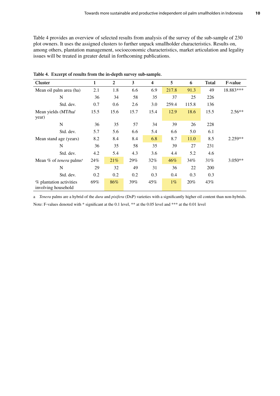Table 4 provides an overview of selected results from analysis of the survey of the sub-sample of 230 plot owners. It uses the assigned clusters to further unpack smallholder characteristics. Results on, among others, plantation management, socioeconomic characteristics, market articulation and legality issues will be treated in greater detail in forthcoming publications.

| Cluster                                        | 1    | $\boldsymbol{2}$ | $\overline{3}$ | $\overline{\mathbf{4}}$ | 5      | 6     | <b>Total</b> | <b>F-value</b> |
|------------------------------------------------|------|------------------|----------------|-------------------------|--------|-------|--------------|----------------|
| Mean oil palm area (ha)                        | 2.1  | 1.8              | 6.6            | 6.9                     | 217.8  | 91.3  | 49           | 18.883***      |
| N                                              | 36   | 34               | 58             | 35                      | 37     | 25    | 226          |                |
| Std. dev.                                      | 0.7  | 0.6              | 2.6            | 3.0                     | 259.4  | 115.8 | 136          |                |
| Mean yields (MT/ha/<br>year)                   | 15.5 | 15.6             | 15.7           | 15.4                    | 12.9   | 18.6  | 15.5         | $2.56**$       |
| N                                              | 36   | 35               | 57             | 34                      | 39     | 26    | 228          |                |
| Std. dev.                                      | 5.7  | 5.6              | 6.6            | 5.4                     | 6.6    | 5.0   | 6.1          |                |
| Mean stand age (years)                         | 8.2  | 8.4              | 8.4            | 6.8                     | 8.7    | 11.0  | 8.5          | $2.259**$      |
| N                                              | 36   | 35               | 58             | 35                      | 39     | 27    | 231          |                |
| Std. dev.                                      | 4.2  | 5.4              | 4.3            | 3.6                     | 4.4    | 5.2   | 4.6          |                |
| Mean % of <i>tenera</i> palms <sup>a</sup>     | 24%  | 21%              | 29%            | $32\%$                  | $46\%$ | 34%   | 31%          | $3.050**$      |
| N                                              | 29   | 32               | 49             | 31                      | 36     | 22    | 200          |                |
| Std. dev.                                      | 0.2  | 0.2              | 0.2            | 0.3                     | 0.4    | 0.3   | 0.3          |                |
| % plantation activities<br>involving household | 69%  | 86%              | 39%            | 45%                     | $1\%$  | 20%   | 43%          |                |

**Table 4. Excerpt of results from the in-depth survey sub-sample.**

a *Tenera* palms are a hybrid of the *dura* and *pisifera* (DxP) varieties with a significantly higher oil content than non-hybrids. Note: F-values denoted with \* significant at the 0.1 level, \*\* at the 0.05 level and \*\*\* at the 0.01 level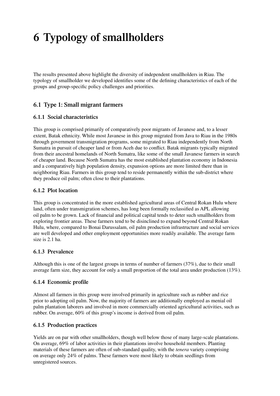## **6 Typology of smallholders**

The results presented above highlight the diversity of independent smallholders in Riau. The typology of smallholder we developed identifies some of the defining characteristics of each of the groups and group-specific policy challenges and priorities.

#### **6.1 Type 1: Small migrant farmers**

#### **6.1.1 Social characteristics**

This group is comprised primarily of comparatively poor migrants of Javanese and, to a lesser extent, Batak ethnicity. While most Javanese in this group migrated from Java to Riau in the 1980s through government transmigration programs, some migrated to Riau independently from North Sumatra in pursuit of cheaper land or from Aceh due to conflict. Batak migrants typically migrated from their ancestral homelands of North Sumatra, like some of the small Javanese farmers in search of cheaper land. Because North Sumatra has the most established plantation economy in Indonesia and a comparatively high population density, expansion options are more limited there than in neighboring Riau. Farmers in this group tend to reside permanently within the sub-district where they produce oil palm; often close to their plantations.

#### **6.1.2 Plot location**

This group is concentrated in the more established agricultural areas of Central Rokan Hulu where land, often under transmigration schemes, has long been formally reclassified as APL allowing oil palm to be grown. Lack of financial and political capital tends to deter such smallholders from exploring frontier areas. These farmers tend to be disinclined to expand beyond Central Rokan Hulu, where, compared to Bonai Darussalam, oil palm production infrastructure and social services are well developed and other employment opportunities more readily available. The average farm size is 2.1 ha.

#### **6.1.3 Prevalence**

Although this is one of the largest groups in terms of number of farmers (37%), due to their small average farm size, they account for only a small proportion of the total area under production (13%).

#### **6.1.4 Economic profile**

Almost all farmers in this group were involved primarily in agriculture such as rubber and rice prior to adopting oil palm. Now, the majority of farmers are additionally employed as menial oil palm plantation laborers and involved in more commercially oriented agricultural activities, such as rubber. On average, 60% of this group's income is derived from oil palm.

#### **6.1.5 Production practices**

Yields are on par with other smallholders, though well below those of many large-scale plantations. On average, 69% of labor activities in their plantations involve household members. Planting materials of these farmers are often of sub-standard quality, with the *tenera* variety comprising on average only 24% of palms. These farmers were most likely to obtain seedlings from unregistered sources.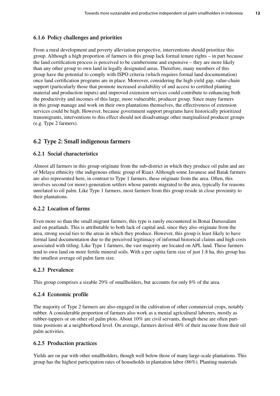#### **6.1.6 Policy challenges and priorities**

From a rural development and poverty alleviation perspective, interventions should prioritize this group. Although a high proportion of farmers in this group lack formal tenure rights – in part because the land certification process is perceived to be cumbersome and expensive – they are more likely than any other group to own land in legally designated areas. Therefore, many members of this group have the potential to comply with ISPO criteria (which requires formal land documentation) once land certification programs are in place. Moreover, considering the high yield gap, value-chain support (particularly those that promote increased availability of and access to certified planting material and production inputs) and improved extension services could contribute to enhancing both the productivity and incomes of this large, more vulnerable, producer group. Since many farmers in this group manage and work on their own plantations themselves, the effectiveness of extension services could be high. However, because government support programs have historically prioritized transmigrants, interventions to this effect should not disadvantage other marginalized producer groups (e.g. Type 2 farmers).

#### **6.2 Type 2: Small indigenous farmers**

#### **6.2.1 Social characteristics**

Almost all farmers in this group originate from the sub-district in which they produce oil palm and are of Melayu ethnicity (the indigenous ethnic group of Riau). Although some Javanese and Batak farmers are also represented here, in contrast to Type 1 farmers, these originate from the area. Often, this involves second (or more)-generation settlers whose parents migrated to the area, typically for reasons unrelated to oil palm. Like Type 1 farmers, most farmers from this group reside in close proximity to their plantations.

#### **6.2.2 Location of farms**

Even more so than the small migrant farmers, this type is rarely encountered in Bonai Darussalam and on peatlands. This is attributable to both lack of capital and, since they also originate from the area, strong social ties to the areas in which they produce. However, this group is least likely to have formal land documentation due to the perceived legitimacy of informal historical claims and high costs associated with titling. Like Type 1 farmers, the vast majority are located on APL land. These farmers tend to own land on more fertile mineral soils. With a per capita farm size of just 1.8 ha, this group has the smallest average oil palm farm size.

#### **6.2.3 Prevalence**

This group comprises a sizable 29% of smallholders, but accounts for only 8% of the area.

#### **6.2.4 Economic profile**

The majority of Type 2 farmers are also engaged in the cultivation of other commercial crops, notably rubber. A considerable proportion of farmers also work as a menial agricultural laborers, mostly as rubber-tappers or on other oil palm plots. About 10% are civil servants, though these are often parttime positions at a neighborhood level. On average, farmers derived 48% of their income from their oil palm activities.

#### **6.2.5 Production practices**

Yields are on par with other smallholders, though well below those of many large-scale plantations. This group has the highest participation rates of households in plantation labor (86%). Planting materials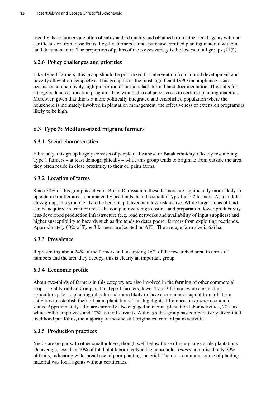used by these farmers are often of sub-standard quality and obtained from either local agents without certificates or from loose fruits. Legally, farmers cannot purchase certified planting material without land documentation. The proportion of palms of the *tenera* variety is the lowest of all groups (21%).

#### **6.2.6 Policy challenges and priorities**

Like Type 1 farmers*,* this group should be prioritized for intervention from a rural development and poverty alleviation perspective. This group faces the most significant ISPO incompliance issues because a comparatively high proportion of farmers lack formal land documentation. This calls for a targeted land certification program. This would also enhance access to certified planting material. Moreover, given that this is a more politically integrated and established population where the household is intimately involved in plantation management, the effectiveness of extension programs is likely to be high.

#### **6.3 Type 3: Medium-sized migrant farmers**

#### **6.3.1 Social characteristics**

Ethnically, this group largely consists of people of Javanese or Batak ethnicity. Closely resembling Type 1 farmers – at least demographically – while this group tends to originate from outside the area, they often reside in close proximity to their oil palm farms.

#### **6.3.2 Location of farms**

Since 38% of this group is active in Bonai Darussalam, these farmers are significantly more likely to operate in frontier areas dominated by peatlands than the smaller Type 1 and 2 farmers. As a middleclass group, this group tends to be better capitalized and less risk averse. While larger areas of land can be acquired in frontier areas, the comparatively high cost of land preparation, lower productivity, less-developed production infrastructure (e.g. road networks and availability of input suppliers) and higher susceptibility to hazards such as fire tends to deter poorer farmers from exploiting peatlands. Approximately 60% of Type 3 farmers are located on APL. The average farm size is 6.6 ha.

#### **6.3.3 Prevalence**

Representing about 24% of the farmers and occupying 26% of the researched area, in terms of numbers and the area they occupy, this is clearly an important group.

#### **6.3.4 Economic profile**

About two-thirds of farmers in this category are also involved in the farming of other commercial crops, notably rubber. Compared to Type 1 farmers, fewer Type 3 farmers were engaged in agriculture prior to planting oil palm and more likely to have accumulated capital from off-farm activities to establish their oil palm plantations. This highlights differences in *ex ante* economic status. Approximately 20% are currently also engaged in menial plantation labor activities, 20% as white-collar employees and 17% as civil servants. Although this group has comparatively diversified livelihood portfolios, the majority of income still originates from oil palm activities.

#### **6.3.5 Production practices**

Yields are on par with other smallholders, though well below those of many large-scale plantations. On average, less than 40% of total plot labor involved the household. *Tenera* comprised only 29% of fruits, indicating widespread use of poor planting material. The most common source of planting material was local agents without certificates.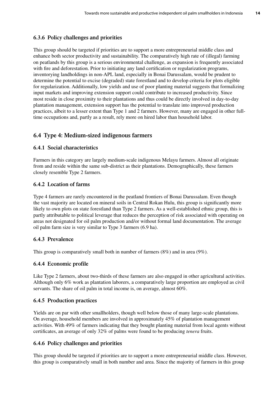#### **6.3.6 Policy challenges and priorities**

This group should be targeted if priorities are to support a more entrepreneurial middle class and enhance both sector productivity and sustainability. The comparatively high rate of (illegal) farming on peatlands by this group is a serious environmental challenge, as expansion is frequently associated with fire and deforestation. Prior to initiating any land certification or regularization programs, inventorying landholdings in non-APL land, especially in Bonai Darussalam, would be prudent to determine the potential to excise (degraded) state forestland and to develop criteria for plots eligible for regularization. Additionally, low yields and use of poor planting material suggests that formalizing input markets and improving extension support could contribute to increased productivity. Since most reside in close proximity to their plantations and thus could be directly involved in day-to-day plantation management, extension support has the potential to translate into improved production practices, albeit to a lesser extent than Type 1 and 2 farmers. However, many are engaged in other fulltime occupations and, partly as a result, rely more on hired labor than household labor.

#### **6.4 Type 4: Medium-sized indigenous farmers**

#### **6.4.1 Social characteristics**

Farmers in this category are largely medium-scale indigenous Melayu farmers. Almost all originate from and reside within the same sub-district as their plantations. Demographically, these farmers closely resemble Type 2 farmers.

#### **6.4.2 Location of farms**

Type 4 farmers are rarely encountered in the peatland frontiers of Bonai Darussalam. Even though the vast majority are located on mineral soils in Central Rokan Hulu, this group is significantly more likely to own plots on state forestland than Type 2 farmers. As a well-established ethnic group, this is partly attributable to political leverage that reduces the perception of risk associated with operating on areas not designated for oil palm production and/or without formal land documentation. The average oil palm farm size is very similar to Type 3 farmers (6.9 ha).

#### **6.4.3 Prevalence**

This group is comparatively small both in number of farmers (8%) and in area (9%).

#### **6.4.4 Economic profile**

Like Type 2 farmers, about two-thirds of these farmers are also engaged in other agricultural activities. Although only 6% work as plantation laborers, a comparatively large proportion are employed as civil servants. The share of oil palm in total income is, on average, almost 60%.

#### **6.4.5 Production practices**

Yields are on par with other smallholders, though well below those of many large-scale plantations. On average, household members are involved in approximately 45% of plantation management activities. With 49% of farmers indicating that they bought planting material from local agents without certificates, an average of only 32% of palms were found to be producing *tenera* fruits.

#### **6.4.6 Policy challenges and priorities**

This group should be targeted if priorities are to support a more entrepreneurial middle class. However, this group is comparatively small in both number and area. Since the majority of farmers in this group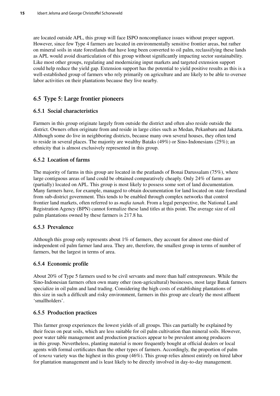are located outside APL, this group will face ISPO noncompliance issues without proper support. However, since few Type 4 farmers are located in environmentally sensitive frontier areas, but rather on mineral soils in state forestlands that have long been converted to oil palm, reclassifying these lands as APL would avoid disarticulation of this group without significantly impacting sector sustainability. Like most other groups, regulating and modernizing input markets and targeted extension support could help reduce the yield gap. Extension support has the potential to yield positive results as this is a well-established group of farmers who rely primarily on agriculture and are likely to be able to oversee labor activities on their plantations because they live nearby.

#### **6.5 Type 5: Large frontier pioneers**

#### **6.5.1 Social characteristics**

Farmers in this group originate largely from outside the district and often also reside outside the district. Owners often originate from and reside in large cities such as Medan, Pekanbaru and Jakarta. Although some do live in neighboring districts, because many own several houses, they often tend to reside in several places. The majority are wealthy Bataks (49%) or Sino-Indonesians (25%); an ethnicity that is almost exclusively represented in this group.

#### **6.5.2 Location of farms**

The majority of farms in this group are located in the peatlands of Bonai Darussalam (75%), where large contiguous areas of land could be obtained comparatively cheaply. Only 24% of farms are (partially) located on APL. This group is most likely to possess some sort of land documentation. Many farmers have, for example, managed to obtain documentation for land located on state forestland from sub-district government. This tends to be enabled through complex networks that control frontier land markets, often referred to as *mafia tanah*. From a legal perspective, the National Land Registration Agency (BPN) cannot formalize these land titles at this point. The average size of oil palm plantations owned by these farmers is 217.8 ha.

#### **6.5.3 Prevalence**

Although this group only represents about 1% of farmers, they account for almost one-third of independent oil palm farmer land area. They are, therefore, the smallest group in terms of number of farmers, but the largest in terms of area.

#### **6.5.4 Economic profile**

About 20% of Type 5 farmers used to be civil servants and more than half entrepreneurs. While the Sino-Indonesian farmers often own many other (non-agricultural) businesses, most large Batak farmers specialize in oil palm and land trading. Considering the high costs of establishing plantations of this size in such a difficult and risky environment, farmers in this group are clearly the most affluent 'smallholders'.

#### **6.5.5 Production practices**

This farmer group experiences the lowest yields of all groups. This can partially be explained by their focus on peat soils, which are less suitable for oil palm cultivation than mineral soils. However, poor water table management and production practices appear to be prevalent among producers in this group. Nevertheless, planting material is more frequently bought at official dealers or local agents with formal certificates than the other types of farmers. Accordingly, the proportion of palm of *tenera* variety was the highest in this group (46%). This group relies almost entirely on hired labor for plantation management and is least likely to be directly involved in day-to-day management.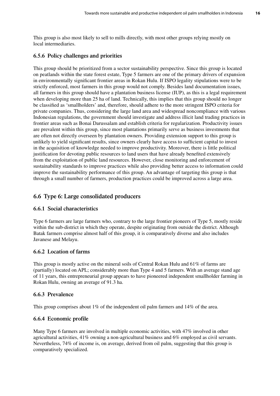This group is also most likely to sell to mills directly, with most other groups relying mostly on local intermediaries.

#### **6.5.6 Policy challenges and priorities**

This group should be prioritized from a sector sustainability perspective. Since this group is located on peatlands within the state forest estate, Type 5 farmers are one of the primary drivers of expansion in environmentally significant frontier areas in Rokan Hulu. If ISPO legality stipulations were to be strictly enforced, most farmers in this group would not comply. Besides land documentation issues, all farmers in this group should have a plantation business license (IUP), as this is a legal requirement when developing more than 25 ha of land. Technically, this implies that this group should no longer be classified as 'smallholders' and, therefore, should adhere to the more stringent ISPO criteria for private companies. Thus, considering the large land area and widespread noncompliance with various Indonesian regulations, the government should investigate and address illicit land trading practices in frontier areas such as Bonai Darussalam and establish criteria for regularization. Productivity issues are prevalent within this group, since most plantations primarily serve as business investments that are often not directly overseen by plantation owners. Providing extension support to this group is unlikely to yield significant results, since owners clearly have access to sufficient capital to invest in the acquisition of knowledge needed to improve productivity. Moreover, there is little political justification for devoting public resources to land users that have already benefited extensively from the exploitation of public land resources. However, close monitoring and enforcement of sustainability standards to improve practices while also providing better access to information could improve the sustainability performance of this group. An advantage of targeting this group is that through a small number of farmers, production practices could be improved across a large area.

#### **6.6 Type 6: Large consolidated producers**

#### **6.6.1 Social characteristics**

Type 6 farmers are large farmers who, contrary to the large frontier pioneers of Type 5, mostly reside within the sub-district in which they operate, despite originating from outside the district. Although Batak farmers comprise almost half of this group, it is comparatively diverse and also includes Javanese and Melayu.

#### **6.6.2 Location of farms**

This group is mostly active on the mineral soils of Central Rokan Hulu and 61% of farms are (partially) located on APL; considerably more than Type 4 and 5 farmers. With an average stand age of 11 years, this entrepreneurial group appears to have pioneered independent smallholder farming in Rokan Hulu, owning an average of 91.3 ha.

#### **6.6.3 Prevalence**

This group comprises about 1% of the independent oil palm farmers and 14% of the area.

#### **6.6.4 Economic profile**

Many Type 6 farmers are involved in multiple economic activities, with 47% involved in other agricultural activities, 41% owning a non-agricultural business and 6% employed as civil servants. Nevertheless, 74% of income is, on average, derived from oil palm, suggesting that this group is comparatively specialized.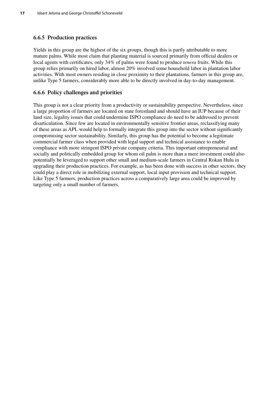#### **6.6.5 Production practices**

Yields in this group are the highest of the six groups, though this is partly attributable to more mature palms. While most claim that planting material is sourced primarily from official dealers or local agents with certificates, only 34% of palms were found to produce *tenera* fruits. While this group relies primarily on hired labor, almost 20% involved some household labor in plantation labor activities. With most owners residing in close proximity to their plantations, farmers in this group are, unlike Type 5 farmers, considerably more able to be directly involved in day-to-day management.

#### **6.6.6 Policy challenges and priorities**

This group is not a clear priority from a productivity or sustainability perspective. Nevertheless, since a large proportion of farmers are located on state forestland and should have an IUP because of their land size, legality issues that could undermine ISPO compliance do need to be addressed to prevent disarticulation. Since few are located in environmentally sensitive frontier areas, reclassifying many of these areas as APL would help to formally integrate this group into the sector without significantly compromising sector sustainability. Similarly, this group has the potential to become a legitimate commercial farmer class when provided with legal support and technical assistance to enable compliance with more stringent ISPO private company criteria. This important entrepreneurial and socially and politically embedded group for whom oil palm is more than a mere investment could also potentially be leveraged to support other small and medium-scale farmers in Central Rokan Hulu in upgrading their production practices. For example, as has been done with success in other sectors, they could play a direct role in mobilizing external support, local input provision and technical support. Like Type 5 farmers, production practices across a comparatively large area could be improved by targeting only a small number of farmers.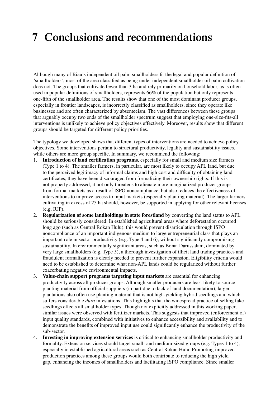### **7 Conclusions and recommendations**

Although many of Riau's independent oil palm smallholders fit the legal and popular definition of 'smallholders', most of the area classified as being under independent smallholder oil palm cultivation does not. The groups that cultivate fewer than 3 ha and rely primarily on household labor, as is often used in popular definitions of smallholders, represents 66% of the population but only represents one-fifth of the smallholder area. The results show that one of the most dominant producer groups, especially in frontier landscapes, is incorrectly classified as smallholders, since they operate like businesses and are often characterized by absenteeism. The vast differences between these groups that arguably occupy two ends of the smallholder spectrum suggest that employing one-size-fits-all interventions is unlikely to achieve policy objectives effectively. Moreover, results show that different groups should be targeted for different policy priorities.

The typology we developed shows that different types of interventions are needed to achieve policy objectives. Some interventions pertain to structural productivity, legality and sustainability issues, while others are more group specific. In summary, we recommend the following:

- 1. **Introduction of land certification programs**, especially for small and medium size farmers (Type 1 to 4). The smaller farmers, in particular, are most likely to occupy APL land, but due to the perceived legitimacy of informal claims and high cost and difficulty of obtaining land certificates, they have been discouraged from formalizing their ownership rights. If this is not properly addressed, it not only threatens to alienate more marginalized producer groups from formal markets as a result of ISPO noncompliance, but also reduces the effectiveness of interventions to improve access to input markets (especially planting material). The larger farmers cultivating in excess of 25 ha should, however, be supported in applying for other relevant licenses (e.g. IUP).
- 2. **Regularization of some landholdings in state forestland** by converting the land status to APL should be seriously considered. In established agricultural areas where deforestation occurred long ago (such as Central Rokan Hulu), this would prevent disarticulation through ISPO noncompliance of an important indigenous medium to large entrepreneurial class that plays an important role in sector productivity (e.g. Type 4 and 6), without significantly compromising sustainability. In environmentally significant areas, such as Bonai Darussalam, dominated by very large smallholders (e.g. Type 5), a thorough investigation of illicit land trading practices and fraudulent formalization is clearly needed to prevent further expansion. Eligibility criteria would need to be established to determine what non-APL lands could be regularized without further exacerbating negative environmental impacts.
- 3. **Value-chain support programs targeting input markets** are essential for enhancing productivity across all producer groups. Although smaller producers are least likely to source planting material from official suppliers (in part due to lack of land documentation), larger plantations also often use planting material that is not high-yielding hybrid seedlings and which suffers considerable *dura* infestations. This highlights that the widespread practice of selling fake seedlings effects all smallholder types. Though not explicitly addressed in this working paper, similar issues were observed with fertilizer markets. This suggests that improved (enforcement of) input quality standards, combined with initiatives to enhance accessibility and availability and to demonstrate the benefits of improved input use could significantly enhance the productivity of the sub-sector.
- 4. **Investing in improving extension services** is critical to enhancing smallholder productivity and formality. Extension services should target small- and medium-sized groups (e.g. Types 1 to 4), especially in established agricultural areas such as Central Rokan Hulu. Promoting improved production practices among these groups would both contribute to reducing the high yield gap, enhancing the incomes of smallholders and facilitating ISPO compliance. Since smaller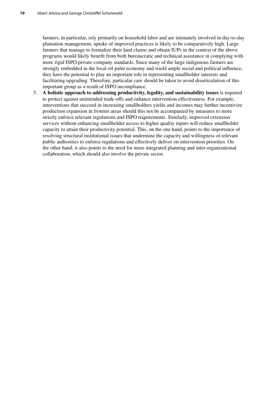farmers, in particular, rely primarily on household labor and are intimately involved in day-to-day plantation management, uptake of improved practices is likely to be comparatively high. Large farmers that manage to formalize their land claims and obtain IUPs in the context of the above programs would likely benefit from both bureaucratic and technical assistance in complying with more rigid ISPO private company standards. Since many of the large indigenous farmers are strongly embedded in the local oil palm economy and wield ample social and political influence, they have the potential to play an important role in representing smallholder interests and facilitating upgrading. Therefore, particular care should be taken to avoid disarticulation of this important group as a result of ISPO incompliance.

5. **A holistic approach to addressing productivity, legality, and sustainability issues** is required to protect against unintended trade-offs and enhance intervention effectiveness. For example, interventions that succeed in increasing smallholders yields and incomes may further incentivize production expansion in frontier areas should this not be accompanied by measures to more strictly enforce relevant regulations and ISPO requirements. Similarly, improved extension services without enhancing smallholder access to higher quality inputs will reduce smallholder capacity to attain their productivity potential. This, on the one hand, points to the importance of resolving structural institutional issues that undermine the capacity and willingness of relevant public authorities to enforce regulations and effectively deliver on intervention priorities. On the other hand, it also points to the need for more integrated planning and inter-organizational collaboration, which should also involve the private sector.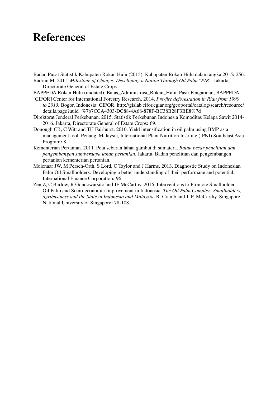### **References**

Badan Pusat Statistik Kabupaten Rokan Hulu (2015). Kabupaten Rokan Hulu dalam angka 2015**:** 256. Badrun M. 2011. *Milestone of Change: Developing a Nation Through Oil Palm ''PIR''*. Jakarta,

Directorate General of Estate Crops.

- BAPPEDA Rokan Hulu (undated). Batas\_Administrasi\_Rokan\_Hulu. Pasir Pengaraian, BAPPEDA.
- [CIFOR] Center for International Forestry Research. 2014. *Pre-fire deforestation in Riau from 1990 to 2013.* Bogor, Indonesia: CIFOR. http://gislab.cifor.cgiar.org/geoportal/catalog/search/resource/ details.page?uuid=%7b7CCA4303-DC88-4A68-878F-BC38B28F3BE8%7d
- Direktorat Jenderal Perkebunan. 2015. Statistik Perkebunan Indonesia Komoditas Kelapa Sawit 2014- 2016. Jakarta, Directorate General of Estate Crops**:** 69.
- Donough CR, C Witt and TH Fairhurst. 2010. Yield intensification in oil palm using BMP as a management tool. Penang, Malaysia, International Plant Nutrition Institute (IPNI) Southeast Asia Program**:** 8.
- Kementerian Pertanian. 2011. Peta sebaran lahan gambut di sumatera. *Balau besar penelitian dan pengembangan sumberdaya lahan pertanian*. Jakarta, Badan penelitian dan pengembangen pertanian kementerian pertanian.
- Molenaar JW, M Persch-Orth, S Lord, C Taylor and J Harms. 2013. Diagnostic Study on Indonesian Palm Oil Smallholders: Developing a better understanding of their performane and potential, International Finance Corporation**:** 96.
- Zen Z, C Barlow, R Gondowarsito and JF McCarthy. 2016. Interventions to Promote Smallholder Oil Palm and Socio-economic Improvement in Indonesia. *The Oil Palm Complex: Smallholders, agribusiness and the State in Indonesia and Malaysia*. R. Cramb and J. F. McCarthy. Singapore, National University of Singapore**:** 78-108.